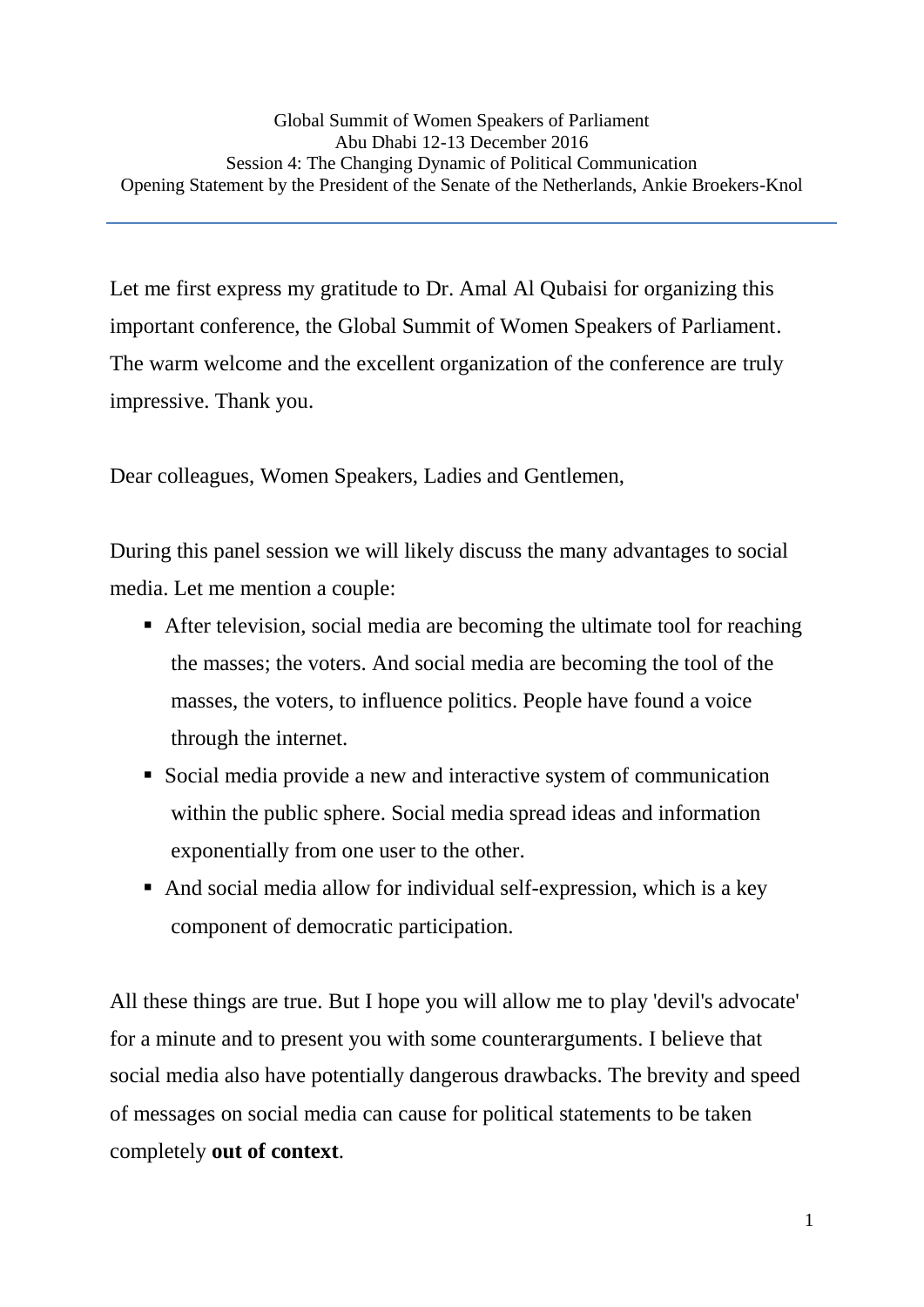Let me first express my gratitude to Dr. Amal Al Qubaisi for organizing this important conference, the Global Summit of Women Speakers of Parliament. The warm welcome and the excellent organization of the conference are truly impressive. Thank you.

Dear colleagues, Women Speakers, Ladies and Gentlemen,

During this panel session we will likely discuss the many advantages to social media. Let me mention a couple:

- After television, social media are becoming the ultimate tool for reaching the masses; the voters. And social media are becoming the tool of the masses, the voters, to influence politics. People have found a voice through the internet.
- Social media provide a new and interactive system of communication within the public sphere. Social media spread ideas and information exponentially from one user to the other.
- And social media allow for individual self-expression, which is a key component of democratic participation.

All these things are true. But I hope you will allow me to play 'devil's advocate' for a minute and to present you with some counterarguments. I believe that social media also have potentially dangerous drawbacks. The brevity and speed of messages on social media can cause for political statements to be taken completely **out of context**.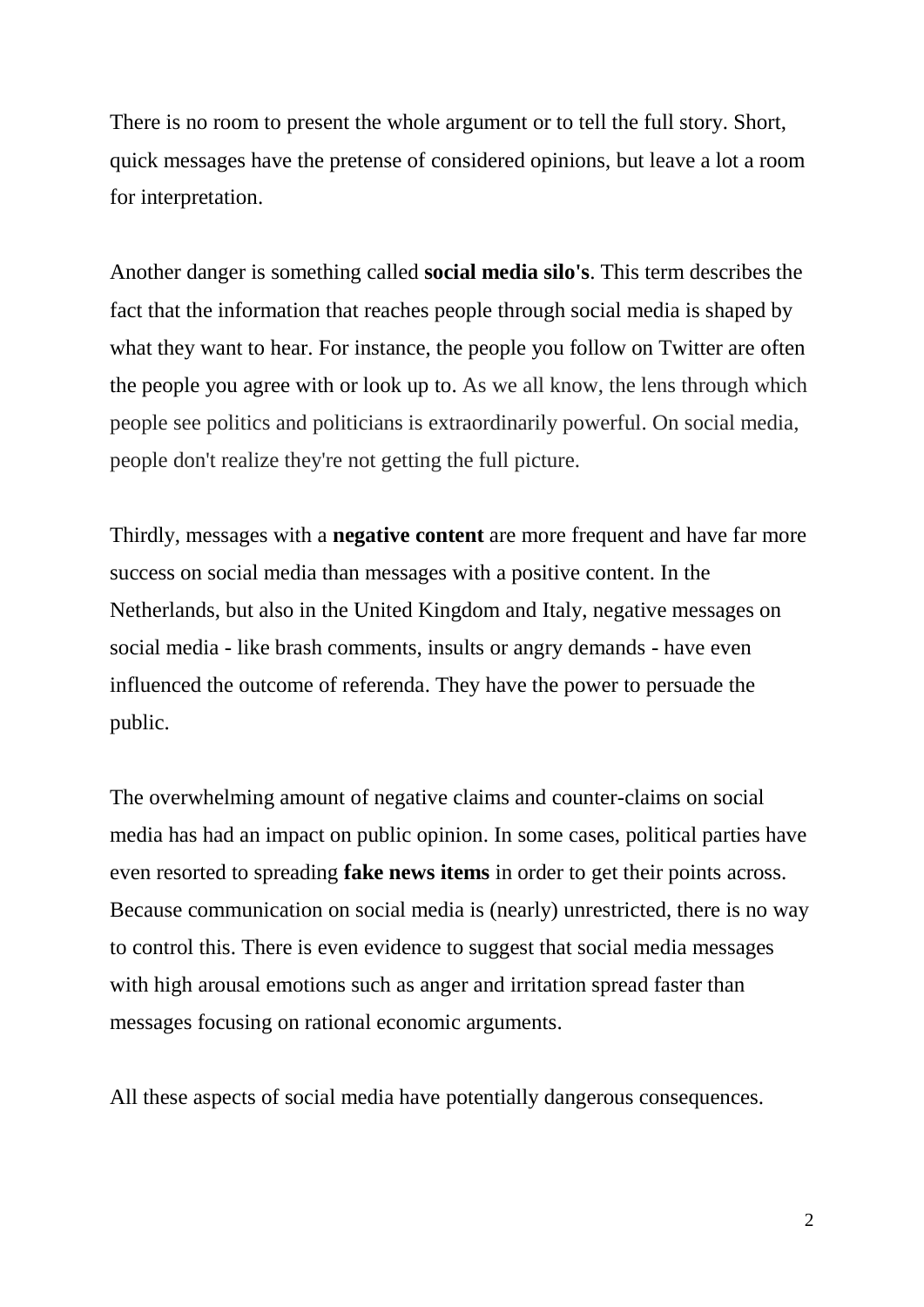There is no room to present the whole argument or to tell the full story. Short, quick messages have the pretense of considered opinions, but leave a lot a room for interpretation.

Another danger is something called **social media silo's**. This term describes the fact that the information that reaches people through social media is shaped by what they want to hear. For instance, the people you follow on Twitter are often the people you agree with or look up to. As we all know, the lens through which people see politics and politicians is extraordinarily powerful. On social media, people don't realize they're not getting the full picture.

Thirdly, messages with a **negative content** are more frequent and have far more success on social media than messages with a positive content. In the Netherlands, but also in the United Kingdom and Italy, negative messages on social media - like brash comments, insults or angry demands - have even influenced the outcome of referenda. They have the power to persuade the public.

The overwhelming amount of negative claims and counter-claims on social media has had an impact on public opinion. In some cases, political parties have even resorted to spreading **fake news items** in order to get their points across. Because communication on social media is (nearly) unrestricted, there is no way to control this. There is even evidence to suggest that social media messages with high arousal emotions such as anger and irritation spread faster than messages focusing on rational economic arguments.

All these aspects of social media have potentially dangerous consequences.